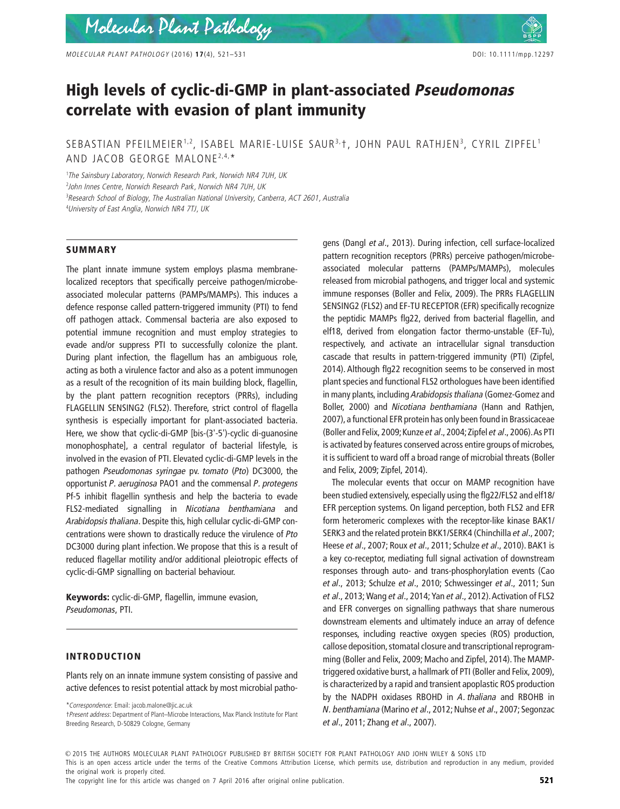# **High levels of cyclic-di-GMP in plant-associated** *Pseudomonas* **correlate with evasion of plant immunity**

# SEBASTIAN PFEILMEIER<sup>1,2</sup>, ISABEL MARIE-LUISE SAUR<sup>3,</sup>†, JOHN PAUL RATHJEN<sup>3</sup>, CYRIL ZIPFEL<sup>1</sup> AND JACOB GEORGE MALONE<sup>2,4,\*</sup>

 *The Sainsbury Laboratory, Norwich Research Park, Norwich NR4 7UH, UK John Innes Centre, Norwich Research Park, Norwich NR4 7UH, UK Research School of Biology, The Australian National University, Canberra, ACT 2601, Australia University of East Anglia, Norwich NR4 7TJ, UK*

### **SUMMARY**

The plant innate immune system employs plasma membranelocalized receptors that specifically perceive pathogen/microbeassociated molecular patterns (PAMPs/MAMPs). This induces a defence response called pattern-triggered immunity (PTI) to fend off pathogen attack. Commensal bacteria are also exposed to potential immune recognition and must employ strategies to evade and/or suppress PTI to successfully colonize the plant. During plant infection, the flagellum has an ambiguous role, acting as both a virulence factor and also as a potent immunogen as a result of the recognition of its main building block, flagellin, by the plant pattern recognition receptors (PRRs), including FLAGELLIN SENSING2 (FLS2). Therefore, strict control of flagella synthesis is especially important for plant-associated bacteria. Here, we show that cyclic-di-GMP [bis-(3'-5')-cyclic di-guanosine monophosphate], a central regulator of bacterial lifestyle, is involved in the evasion of PTI. Elevated cyclic-di-GMP levels in the pathogen *Pseudomonas syringae* pv. *tomato* (*Pto*) DC3000, the opportunist *P. aeruginosa* PAO1 and the commensal *P. protegens* Pf-5 inhibit flagellin synthesis and help the bacteria to evade FLS2-mediated signalling in *Nicotiana benthamiana* and *Arabidopsis thaliana*. Despite this, high cellular cyclic-di-GMP concentrations were shown to drastically reduce the virulence of *Pto* DC3000 during plant infection. We propose that this is a result of reduced flagellar motility and/or additional pleiotropic effects of cyclic-di-GMP signalling on bacterial behaviour.

**Keywords:** cyclic-di-GMP, flagellin, immune evasion, *Pseudomonas*, PTI.

## **INTRODUCTION**

Plants rely on an innate immune system consisting of passive and active defences to resist potential attack by most microbial patho-

†*Present address*: Department of Plant–Microbe Interactions, Max Planck Institute for Plant Breeding Research, D-50829 Cologne, Germany

gens (Dangl *et al*., 2013). During infection, cell surface-localized pattern recognition receptors (PRRs) perceive pathogen/microbeassociated molecular patterns (PAMPs/MAMPs), molecules released from microbial pathogens, and trigger local and systemic immune responses (Boller and Felix, 2009). The PRRs FLAGELLIN SENSING2 (FLS2) and EF-TU RECEPTOR (EFR) specifically recognize the peptidic MAMPs flg22, derived from bacterial flagellin, and elf18, derived from elongation factor thermo-unstable (EF-Tu), respectively, and activate an intracellular signal transduction cascade that results in pattern-triggered immunity (PTI) (Zipfel, 2014). Although flg22 recognition seems to be conserved in most plant species and functional FLS2 orthologues have been identified in many plants, including *Arabidopsis thaliana* (Gomez-Gomez and Boller, 2000) and *Nicotiana benthamiana* (Hann and Rathjen, 2007), a functional EFR protein has only been found in Brassicaceae (Boller and Felix, 2009; Kunze *et al*., 2004;Zipfel *et al*., 2006).As PTI is activated by features conserved across entire groups of microbes, it is sufficient to ward off a broad range of microbial threats (Boller and Felix, 2009; Zipfel, 2014).

The molecular events that occur on MAMP recognition have been studied extensively, especially using the flg22/FLS2 and elf18/ EFR perception systems. On ligand perception, both FLS2 and EFR form heteromeric complexes with the receptor-like kinase BAK1/ SERK3 and the related protein BKK1/SERK4 (Chinchilla *et al*., 2007; Heese *et al*., 2007; Roux *et al*., 2011; Schulze *et al*., 2010). BAK1 is a key co-receptor, mediating full signal activation of downstream responses through auto- and trans-phosphorylation events (Cao *et al*., 2013; Schulze *et al*., 2010; Schwessinger *et al*., 2011; Sun *et al*., 2013; Wang *et al*., 2014; Yan *et al*., 2012).Activation of FLS2 and EFR converges on signalling pathways that share numerous downstream elements and ultimately induce an array of defence responses, including reactive oxygen species (ROS) production, callose deposition, stomatal closure and transcriptional reprogramming (Boller and Felix, 2009; Macho and Zipfel, 2014).The MAMPtriggered oxidative burst, a hallmark of PTI (Boller and Felix, 2009), is characterized by a rapid and transient apoplastic ROS production by the NADPH oxidases RBOHD in *A. thaliana* and RBOHB in *N. benthamiana* (Marino *et al*., 2012; Nuhse *et al*., 2007; Segonzac *et al*., 2011; Zhang *et al*., 2007).

 $\odot$  2015 THE AUTHORS MOLECULAR PLANT PATHOLOGY PUBLISHED BY BRITISH SOCIETY FOR PLANT PATHOLOGY AND JOHN WILEY & SONS LTD

the original work is properly cited.

The copyright line for this article was changed on 7 April 2016 after original online publication. **521 521** 

<sup>\*</sup>*Correspondence*: Email: jacob.malone@jic.ac.uk

This is an open access article under the terms of the Creative Commons Attribution License, which permits use, distribution and reproduction in any medium, provided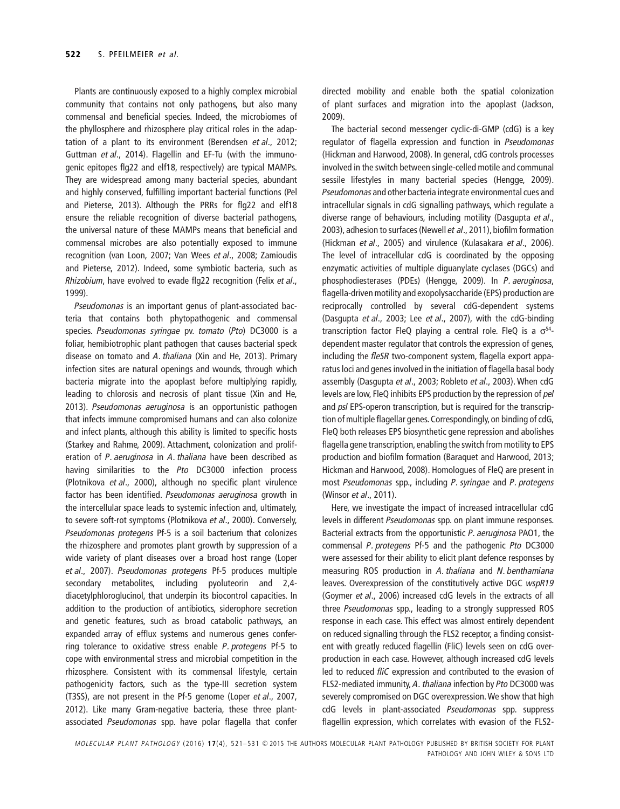Plants are continuously exposed to a highly complex microbial community that contains not only pathogens, but also many commensal and beneficial species. Indeed, the microbiomes of the phyllosphere and rhizosphere play critical roles in the adaptation of a plant to its environment (Berendsen *et al*., 2012; Guttman *et al*., 2014). Flagellin and EF-Tu (with the immunogenic epitopes flg22 and elf18, respectively) are typical MAMPs. They are widespread among many bacterial species, abundant and highly conserved, fulfilling important bacterial functions (Pel and Pieterse, 2013). Although the PRRs for flg22 and elf18 ensure the reliable recognition of diverse bacterial pathogens, the universal nature of these MAMPs means that beneficial and commensal microbes are also potentially exposed to immune recognition (van Loon, 2007; Van Wees *et al*., 2008; Zamioudis and Pieterse, 2012). Indeed, some symbiotic bacteria, such as *Rhizobium*, have evolved to evade flg22 recognition (Felix *et al*., 1999).

*Pseudomonas* is an important genus of plant-associated bacteria that contains both phytopathogenic and commensal species. *Pseudomonas syringae* pv. *tomato* (*Pto*) DC3000 is a foliar, hemibiotrophic plant pathogen that causes bacterial speck disease on tomato and *A. thaliana* (Xin and He, 2013). Primary infection sites are natural openings and wounds, through which bacteria migrate into the apoplast before multiplying rapidly, leading to chlorosis and necrosis of plant tissue (Xin and He, 2013). *Pseudomonas aeruginosa* is an opportunistic pathogen that infects immune compromised humans and can also colonize and infect plants, although this ability is limited to specific hosts (Starkey and Rahme, 2009). Attachment, colonization and proliferation of *P. aeruginosa* in *A. thaliana* have been described as having similarities to the *Pto* DC3000 infection process (Plotnikova *et al*., 2000), although no specific plant virulence factor has been identified. *Pseudomonas aeruginosa* growth in the intercellular space leads to systemic infection and, ultimately, to severe soft-rot symptoms (Plotnikova *et al*., 2000). Conversely, *Pseudomonas protegens* Pf-5 is a soil bacterium that colonizes the rhizosphere and promotes plant growth by suppression of a wide variety of plant diseases over a broad host range (Loper *et al*., 2007). *Pseudomonas protegens* Pf-5 produces multiple secondary metabolites, including pyoluteorin and 2,4 diacetylphloroglucinol, that underpin its biocontrol capacities. In addition to the production of antibiotics, siderophore secretion and genetic features, such as broad catabolic pathways, an expanded array of efflux systems and numerous genes conferring tolerance to oxidative stress enable *P. protegens* Pf-5 to cope with environmental stress and microbial competition in the rhizosphere. Consistent with its commensal lifestyle, certain pathogenicity factors, such as the type-III secretion system (T3SS), are not present in the Pf-5 genome (Loper *et al*., 2007, 2012). Like many Gram-negative bacteria, these three plantassociated *Pseudomonas* spp. have polar flagella that confer

directed mobility and enable both the spatial colonization of plant surfaces and migration into the apoplast (Jackson, 2009).

The bacterial second messenger cyclic-di-GMP (cdG) is a key regulator of flagella expression and function in *Pseudomonas* (Hickman and Harwood, 2008). In general, cdG controls processes involved in the switch between single-celled motile and communal sessile lifestyles in many bacterial species (Hengge, 2009). *Pseudomonas* and other bacteria integrate environmental cues and intracellular signals in cdG signalling pathways, which regulate a diverse range of behaviours, including motility (Dasgupta *et al*., 2003), adhesion to surfaces (Newell *et al*., 2011), biofilm formation (Hickman *et al*., 2005) and virulence (Kulasakara *et al*., 2006). The level of intracellular cdG is coordinated by the opposing enzymatic activities of multiple diguanylate cyclases (DGCs) and phosphodiesterases (PDEs) (Hengge, 2009). In *P. aeruginosa*, flagella-driven motility and exopolysaccharide (EPS) production are reciprocally controlled by several cdG-dependent systems (Dasgupta *et al*., 2003; Lee *et al*., 2007), with the cdG-binding transcription factor FleQ playing a central role. FleQ is a  $\sigma^{54}$ dependent master regulator that controls the expression of genes, including the *fleSR* two-component system, flagella export apparatus loci and genes involved in the initiation of flagella basal body assembly (Dasgupta *et al*., 2003; Robleto *et al*., 2003). When cdG levels are low, FleQ inhibits EPS production by the repression of *pel* and *psl* EPS-operon transcription, but is required for the transcription of multiple flagellar genes. Correspondingly, on binding of cdG, FleQ both releases EPS biosynthetic gene repression and abolishes flagella gene transcription, enabling the switch from motility to EPS production and biofilm formation (Baraquet and Harwood, 2013; Hickman and Harwood, 2008). Homologues of FleQ are present in most *Pseudomonas* spp., including *P. syringae* and *P. protegens* (Winsor *et al*., 2011).

Here, we investigate the impact of increased intracellular cdG levels in different *Pseudomonas* spp. on plant immune responses. Bacterial extracts from the opportunistic *P. aeruginosa* PAO1, the commensal *P. protegens* Pf-5 and the pathogenic *Pto* DC3000 were assessed for their ability to elicit plant defence responses by measuring ROS production in *A. thaliana* and *N. benthamiana* leaves. Overexpression of the constitutively active DGC *wspR19* (Goymer *et al*., 2006) increased cdG levels in the extracts of all three *Pseudomonas* spp., leading to a strongly suppressed ROS response in each case. This effect was almost entirely dependent on reduced signalling through the FLS2 receptor, a finding consistent with greatly reduced flagellin (FliC) levels seen on cdG overproduction in each case. However, although increased cdG levels led to reduced *fliC* expression and contributed to the evasion of FLS2-mediated immunity, *A. thaliana* infection by *Pto* DC3000 was severely compromised on DGC overexpression.We show that high cdG levels in plant-associated *Pseudomonas* spp. suppress flagellin expression, which correlates with evasion of the FLS2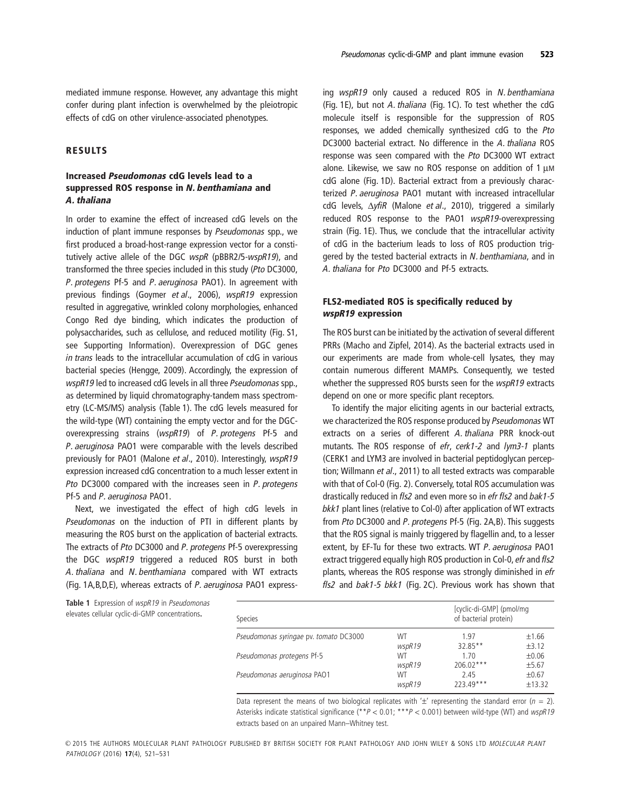mediated immune response. However, any advantage this might confer during plant infection is overwhelmed by the pleiotropic effects of cdG on other virulence-associated phenotypes.

# **RESULTS**

# **Increased** *Pseudomonas* **cdG levels lead to a suppressed ROS response in** *N. benthamiana* **and** *A. thaliana*

In order to examine the effect of increased cdG levels on the induction of plant immune responses by *Pseudomonas* spp., we first produced a broad-host-range expression vector for a constitutively active allele of the DGC *wspR* (pBBR2/5-*wspR19*), and transformed the three species included in this study (*Pto* DC3000, *P. protegens* Pf-5 and *P. aeruginosa* PAO1). In agreement with previous findings (Goymer *et al*., 2006), *wspR19* expression resulted in aggregative, wrinkled colony morphologies, enhanced Congo Red dye binding, which indicates the production of polysaccharides, such as cellulose, and reduced motility (Fig. S1, see Supporting Information). Overexpression of DGC genes *in trans* leads to the intracellular accumulation of cdG in various bacterial species (Hengge, 2009). Accordingly, the expression of *wspR19* led to increased cdG levels in all three *Pseudomonas* spp., as determined by liquid chromatography-tandem mass spectrometry (LC-MS/MS) analysis (Table 1). The cdG levels measured for the wild-type (WT) containing the empty vector and for the DGCoverexpressing strains (*wspR19*) of *P. protegens* Pf-5 and *P. aeruginosa* PAO1 were comparable with the levels described previously for PAO1 (Malone *et al*., 2010). Interestingly, *wspR19* expression increased cdG concentration to a much lesser extent in *Pto* DC3000 compared with the increases seen in *P. protegens* Pf-5 and *P. aeruginosa* PAO1.

Next, we investigated the effect of high cdG levels in *Pseudomonas* on the induction of PTI in different plants by measuring the ROS burst on the application of bacterial extracts. The extracts of *Pto* DC3000 and *P. protegens* Pf-5 overexpressing the DGC *wspR19* triggered a reduced ROS burst in both *A. thaliana* and *N. benthamiana* compared with WT extracts (Fig. 1A,B,D,E), whereas extracts of *P. aeruginosa* PAO1 expressing *wspR19* only caused a reduced ROS in *N. benthamiana* (Fig. 1E), but not *A. thaliana* (Fig. 1C). To test whether the cdG molecule itself is responsible for the suppression of ROS responses, we added chemically synthesized cdG to the *Pto* DC3000 bacterial extract. No difference in the *A. thaliana* ROS response was seen compared with the *Pto* DC3000 WT extract alone. Likewise, we saw no ROS response on addition of 1 μM cdG alone (Fig. 1D). Bacterial extract from a previously characterized *P. aeruginosa* PAO1 mutant with increased intracellular cdG levels, Δ*yfiR* (Malone *et al*., 2010), triggered a similarly reduced ROS response to the PAO1 *wspR19-*overexpressing strain (Fig. 1E). Thus, we conclude that the intracellular activity of cdG in the bacterium leads to loss of ROS production triggered by the tested bacterial extracts in *N. benthamiana*, and in *A. thaliana* for *Pto* DC3000 and Pf-5 extracts.

# **FLS2-mediated ROS is specifically reduced by** *wspR19* **expression**

The ROS burst can be initiated by the activation of several different PRRs (Macho and Zipfel, 2014). As the bacterial extracts used in our experiments are made from whole-cell lysates, they may contain numerous different MAMPs. Consequently, we tested whether the suppressed ROS bursts seen for the *wspR19* extracts depend on one or more specific plant receptors.

To identify the major eliciting agents in our bacterial extracts, we characterized the ROS response produced by *Pseudomonas* WT extracts on a series of different *A. thaliana* PRR knock-out mutants. The ROS response of *efr*, *cerk1-2* and *lym3-1* plants (CERK1 and LYM3 are involved in bacterial peptidoglycan perception; Willmann *et al*., 2011) to all tested extracts was comparable with that of Col-0 (Fig. 2). Conversely, total ROS accumulation was drastically reduced in *fls2* and even more so in *efr fls2* and *bak1-5 bkk1* plant lines (relative to Col-0) after application of WT extracts from *Pto* DC3000 and *P. protegens* Pf-5 (Fig. 2A,B). This suggests that the ROS signal is mainly triggered by flagellin and, to a lesser extent, by EF-Tu for these two extracts. WT *P. aeruginosa* PAO1 extract triggered equally high ROS production in Col-0, *efr* and *fls2* plants, whereas the ROS response was strongly diminished in *efr fls2* and *bak1-5 bkk1* (Fig. 2C). Previous work has shown that

| Species                                |        | [cyclic-di-GMP] (pmol/mg<br>of bacterial protein) |            |
|----------------------------------------|--------|---------------------------------------------------|------------|
| Pseudomonas syringae pv. tomato DC3000 | WT     | 1.97                                              | ±1.66      |
|                                        | wspR19 | 32.85**                                           | ±3.12      |
| Pseudomonas protegens Pf-5             | WT     | 1.70                                              | ±0.06      |
|                                        | wspR19 | $206.02***$                                       | $\pm$ 5.67 |
| Pseudomonas aeruginosa PAO1            | WT     | 2.45                                              | $\pm 0.67$ |
|                                        | wspR19 | $773.49***$                                       | ±13.32     |

Data represent the means of two biological replicates with ' $\pm$ ' representing the standard error ( $n = 2$ ). Asterisks indicate statistical significance (\*\**P* < 0.01; \*\*\**P* < 0.001) between wild-type (WT) and *wspR19* extracts based on an unpaired Mann–Whitney test.

PATHOLOGY (2016) **17**(4), 521–531  $\odot$ 2015 THE AUTHORS MOLECULAR PLANT PATHOLOGY PUBLISHED BY BRITISH SOCIETY FOR PLANT PATHOLOGY AND JOHN WILEY & SONS LTD MOLECULAR PLANT

#### **Table 1** Expression of *wspR19* in *Pseudomonas* elevates cellular cyclic-di-GMP concentrations.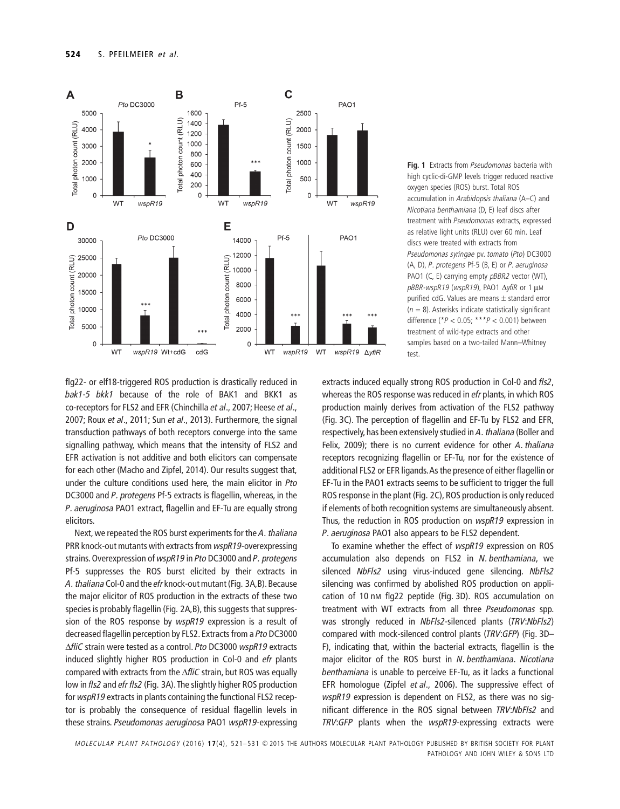

**Fig. 1** Extracts from *Pseudomonas* bacteria with high cyclic-di-GMP levels trigger reduced reactive oxygen species (ROS) burst. Total ROS accumulation in *Arabidopsis thaliana* (A–C) and *Nicotiana benthamiana* (D, E) leaf discs after treatment with *Pseudomonas* extracts, expressed as relative light units (RLU) over 60 min. Leaf discs were treated with extracts from *Pseudomonas syringae* pv. *tomato* (*Pto*) DC3000 (A, D), *P. protegens* Pf-5 (B, E) or *P. aeruginosa* PAO1 (C, E) carrying empty *pBBR2* vector (WT), *pBBR-wspR19* (*wspR19*), PAO1 Δ*yfiR* or 1 μM purified cdG. Values are means ± standard error (*n* = 8). Asterisks indicate statistically significant difference (\**P* < 0.05; \*\*\**P* < 0.001) between treatment of wild-type extracts and other samples based on a two-tailed Mann–Whitney test.

flg22- or elf18-triggered ROS production is drastically reduced in *bak1-5 bkk1* because of the role of BAK1 and BKK1 as co-receptors for FLS2 and EFR (Chinchilla *et al*., 2007; Heese *et al*., 2007; Roux *et al*., 2011; Sun *et al*., 2013). Furthermore, the signal transduction pathways of both receptors converge into the same signalling pathway, which means that the intensity of FLS2 and EFR activation is not additive and both elicitors can compensate for each other (Macho and Zipfel, 2014). Our results suggest that, under the culture conditions used here, the main elicitor in *Pto* DC3000 and *P. protegens* Pf-5 extracts is flagellin, whereas, in the *P. aeruginosa* PAO1 extract, flagellin and EF-Tu are equally strong elicitors.

Next, we repeated the ROS burst experiments for the *A. thaliana* PRR knock-out mutants with extracts from *wspR19*-overexpressing strains. Overexpression of *wspR19* in *Pto* DC3000 and *P. protegens* Pf-5 suppresses the ROS burst elicited by their extracts in *A. thaliana* Col-0 and the *efr* knock-out mutant (Fig. 3A,B). Because the major elicitor of ROS production in the extracts of these two species is probably flagellin (Fig. 2A,B), this suggests that suppression of the ROS response by *wspR19* expression is a result of decreased flagellin perception by FLS2. Extracts from a *Pto* DC3000 Δ*fliC* strain were tested as a control. *Pto* DC3000 *wspR19* extracts induced slightly higher ROS production in Col-0 and *efr* plants compared with extracts from the Δ*fliC* strain, but ROS was equally low in *fls2* and *efr fls2* (Fig. 3A).The slightly higher ROS production for *wspR19* extracts in plants containing the functional FLS2 receptor is probably the consequence of residual flagellin levels in these strains. *Pseudomonas aeruginosa* PAO1 *wspR19*-expressing

extracts induced equally strong ROS production in Col-0 and *fls2*, whereas the ROS response was reduced in *efr* plants, in which ROS production mainly derives from activation of the FLS2 pathway (Fig. 3C). The perception of flagellin and EF-Tu by FLS2 and EFR, respectively, has been extensively studied in *A. thaliana* (Boller and Felix, 2009); there is no current evidence for other *A. thaliana* receptors recognizing flagellin or EF-Tu, nor for the existence of additional FLS2 or EFR ligands.As the presence of either flagellin or EF-Tu in the PAO1 extracts seems to be sufficient to trigger the full ROS response in the plant (Fig. 2C), ROS production is only reduced if elements of both recognition systems are simultaneously absent. Thus, the reduction in ROS production on *wspR19* expression in *P. aeruginosa* PAO1 also appears to be FLS2 dependent.

To examine whether the effect of *wspR19* expression on ROS accumulation also depends on FLS2 in *N. benthamiana*, we silenced *NbFls2* using virus-induced gene silencing. *NbFls2* silencing was confirmed by abolished ROS production on application of 10 nM flg22 peptide (Fig. 3D). ROS accumulation on treatment with WT extracts from all three *Pseudomonas* spp. was strongly reduced in *NbFls2*-silenced plants (*TRV*:*NbFls2*) compared with mock-silenced control plants (*TRV*:*GFP*) (Fig. 3D– F), indicating that, within the bacterial extracts, flagellin is the major elicitor of the ROS burst in *N. benthamiana*. *Nicotiana benthamiana* is unable to perceive EF-Tu, as it lacks a functional EFR homologue (Zipfel *et al*., 2006). The suppressive effect of *wspR19* expression is dependent on FLS2, as there was no significant difference in the ROS signal between *TRV*:*NbFls2* and *TRV*:*GFP* plants when the *wspR19*-expressing extracts were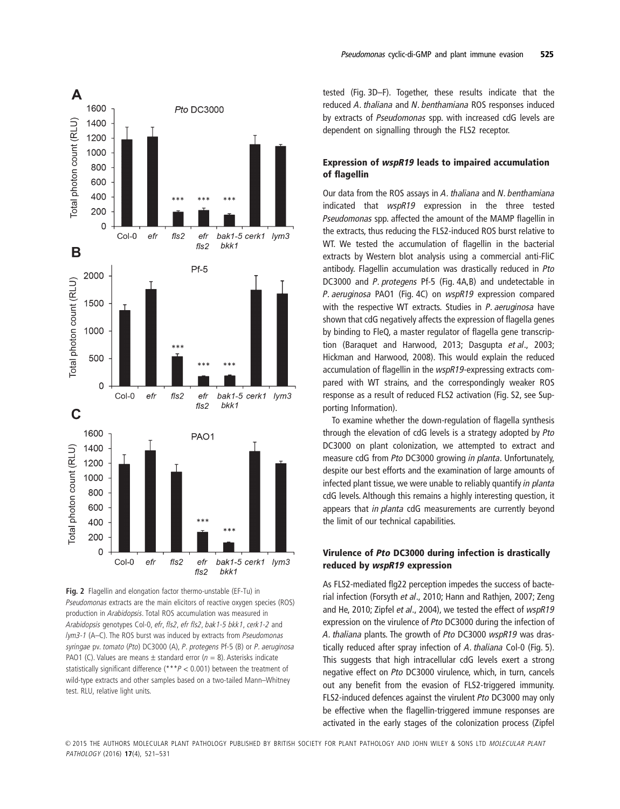

**Fig. 2** Flagellin and elongation factor thermo-unstable (EF-Tu) in *Pseudomonas* extracts are the main elicitors of reactive oxygen species (ROS) production in *Arabidopsis*. Total ROS accumulation was measured in *Arabidopsis* genotypes Col-0, *efr*, *fls2*, *efr fls2*, *bak1-5 bkk1*, *cerk1-2* and *lym3-1* (A–C). The ROS burst was induced by extracts from *Pseudomonas syringae* pv. *tomato* (*Pto*) DC3000 (A), *P. protegens* Pf-5 (B) or *P. aeruginosa* PAO1 (C). Values are means  $\pm$  standard error ( $n = 8$ ). Asterisks indicate statistically significant difference (\*\*\**P* < 0.001) between the treatment of wild-type extracts and other samples based on a two-tailed Mann–Whitney test. RLU, relative light units.

# **Expression of** *wspR19* **leads to impaired accumulation of flagellin**

Our data from the ROS assays in *A. thaliana* and *N. benthamiana* indicated that *wspR19* expression in the three tested *Pseudomonas* spp. affected the amount of the MAMP flagellin in the extracts, thus reducing the FLS2-induced ROS burst relative to WT. We tested the accumulation of flagellin in the bacterial extracts by Western blot analysis using a commercial anti-FliC antibody. Flagellin accumulation was drastically reduced in *Pto* DC3000 and *P. protegens* Pf-5 (Fig. 4A,B) and undetectable in *P. aeruginosa* PAO1 (Fig. 4C) on *wspR19* expression compared with the respective WT extracts. Studies in *P. aeruginosa* have shown that cdG negatively affects the expression of flagella genes by binding to FleQ, a master regulator of flagella gene transcription (Baraquet and Harwood, 2013; Dasgupta *et al*., 2003; Hickman and Harwood, 2008). This would explain the reduced accumulation of flagellin in the *wspR19-*expressing extracts compared with WT strains, and the correspondingly weaker ROS response as a result of reduced FLS2 activation (Fig. S2, see Supporting Information).

To examine whether the down-regulation of flagella synthesis through the elevation of cdG levels is a strategy adopted by *Pto* DC3000 on plant colonization, we attempted to extract and measure cdG from *Pto* DC3000 growing *in planta*. Unfortunately, despite our best efforts and the examination of large amounts of infected plant tissue, we were unable to reliably quantify *in planta* cdG levels. Although this remains a highly interesting question, it appears that *in planta* cdG measurements are currently beyond the limit of our technical capabilities.

# **Virulence of** *Pto* **DC3000 during infection is drastically reduced by** *wspR19* **expression**

As FLS2-mediated flg22 perception impedes the success of bacterial infection (Forsyth *et al*., 2010; Hann and Rathjen, 2007; Zeng and He, 2010; Zipfel *et al*., 2004), we tested the effect of *wspR19* expression on the virulence of *Pto* DC3000 during the infection of *A. thaliana* plants. The growth of *Pto* DC3000 *wspR19* was drastically reduced after spray infection of *A. thaliana* Col-0 (Fig. 5). This suggests that high intracellular cdG levels exert a strong negative effect on *Pto* DC3000 virulence, which, in turn, cancels out any benefit from the evasion of FLS2-triggered immunity. FLS2-induced defences against the virulent *Pto* DC3000 may only be effective when the flagellin-triggered immune responses are activated in the early stages of the colonization process (Zipfel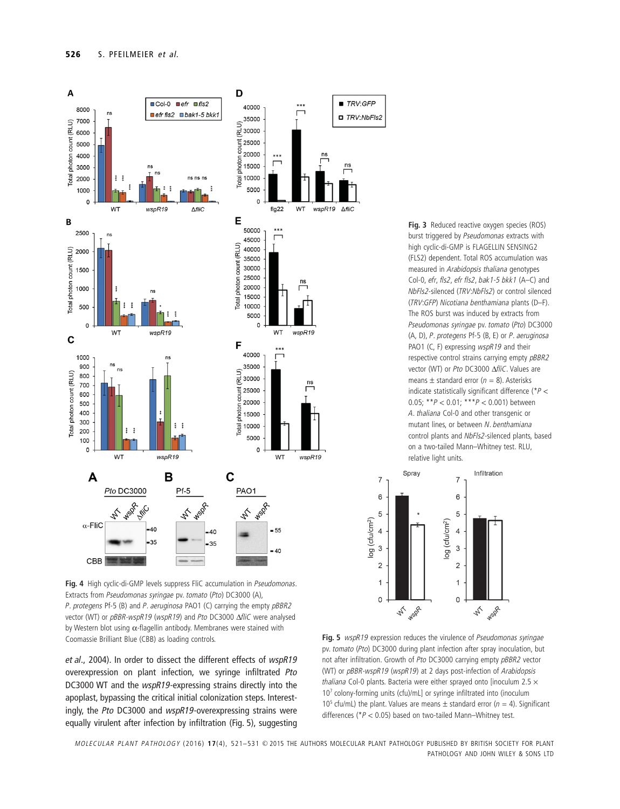

**Fig. 4** High cyclic-di-GMP levels suppress FliC accumulation in *Pseudomonas*. Extracts from *Pseudomonas syringae* pv. *tomato* (*Pto*) DC3000 (A), *P. protegens* Pf-5 (B) and *P. aeruginosa* PAO1 (C) carrying the empty *pBBR2* vector (WT) or *pBBR-wspR19* (*wspR19*) and *Pto* DC3000 Δ*fliC* were analysed by Western blot using α-flagellin antibody. Membranes were stained with Coomassie Brilliant Blue (CBB) as loading controls. **Fig. 5** *wspR19* expression reduces the virulence of *Pseudomonas syringae*

*et al*., 2004). In order to dissect the different effects of *wspR19* overexpression on plant infection, we syringe infiltrated *Pto* DC3000 WT and the *wspR19*-expressing strains directly into the apoplast, bypassing the critical initial colonization steps. Interestingly, the *Pto* DC3000 and *wspR19*-overexpressing strains were equally virulent after infection by infiltration (Fig. 5), suggesting **Fig. 3** Reduced reactive oxygen species (ROS) burst triggered by *Pseudomonas* extracts with high cyclic-di-GMP is FLAGELLIN SENSING2 (FLS2) dependent. Total ROS accumulation was measured in *Arabidopsis thaliana* genotypes Col-0, *efr*, *fls2*, *efr fls2*, *bak1-5 bkk1* (A–C) and *NbFls2*-silenced (*TRV*:*NbFls2*) or control silenced (*TRV*:*GFP*) *Nicotiana benthamiana* plants (D–F). The ROS burst was induced by extracts from *Pseudomonas syringae* pv. *tomato* (*Pto*) DC3000 (A, D), *P. protegens* Pf-5 (B, E) or *P. aeruginosa* PAO1 (C, F) expressing *wspR19* and their respective control strains carrying empty *pBBR2* vector (WT) or *Pto* DC3000 Δ*fliC*. Values are means  $\pm$  standard error ( $n = 8$ ). Asterisks indicate statistically significant difference (\**P* < 0.05; \*\**P* < 0.01; \*\*\**P* < 0.001) between *A. thaliana* Col-0 and other transgenic or mutant lines, or between *N. benthamiana* control plants and *NbFls2*-silenced plants, based on a two-tailed Mann–Whitney test. RLU, relative light units.



pv. *tomato* (*Pto*) DC3000 during plant infection after spray inoculation, but not after infiltration. Growth of *Pto* DC3000 carrying empty *pBBR2* vector (WT) or *pBBR-wspR19* (*wspR19*) at 2 days post-infection of *Arabidopsis thaliana* Col-0 plants. Bacteria were either sprayed onto [inoculum 2.5 × 10<sup>7</sup> colony-forming units (cfu)/mL] or syringe infiltrated into (inoculum 10<sup>5</sup> cfu/mL) the plant. Values are means  $\pm$  standard error ( $n = 4$ ). Significant differences (\**P* < 0.05) based on two-tailed Mann–Whitney test.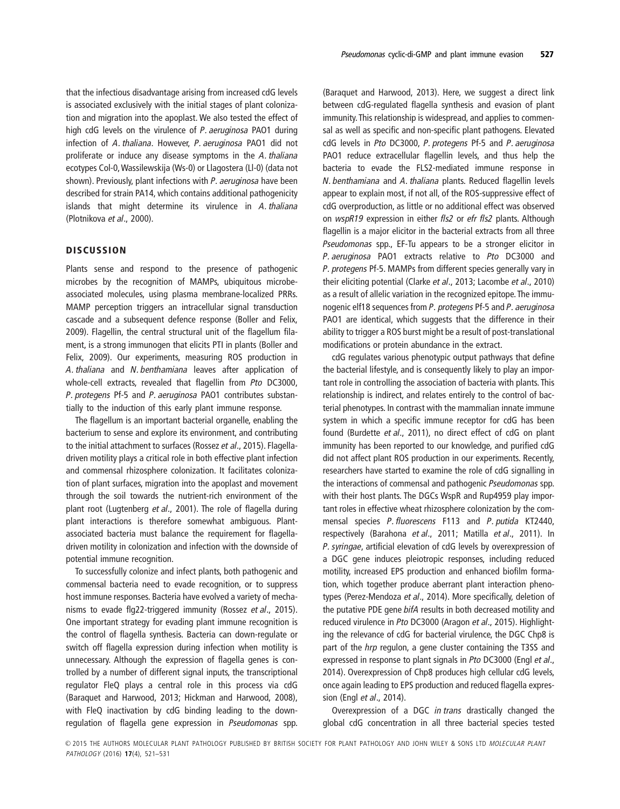that the infectious disadvantage arising from increased cdG levels is associated exclusively with the initial stages of plant colonization and migration into the apoplast. We also tested the effect of high cdG levels on the virulence of *P. aeruginosa* PAO1 during infection of *A. thaliana*. However, *P. aeruginosa* PAO1 did not proliferate or induce any disease symptoms in the *A. thaliana* ecotypes Col-0,Wassilewskija (Ws-0) or Llagostera (Ll-0) (data not shown). Previously, plant infections with *P. aeruginosa* have been described for strain PA14, which contains additional pathogenicity islands that might determine its virulence in *A. thaliana* (Plotnikova *et al*., 2000).

## **DISCUSSION**

Plants sense and respond to the presence of pathogenic microbes by the recognition of MAMPs, ubiquitous microbeassociated molecules, using plasma membrane-localized PRRs. MAMP perception triggers an intracellular signal transduction cascade and a subsequent defence response (Boller and Felix, 2009). Flagellin, the central structural unit of the flagellum filament, is a strong immunogen that elicits PTI in plants (Boller and Felix, 2009). Our experiments, measuring ROS production in *A. thaliana* and *N. benthamiana* leaves after application of whole-cell extracts, revealed that flagellin from *Pto* DC3000, *P. protegens* Pf-5 and *P. aeruginosa* PAO1 contributes substantially to the induction of this early plant immune response.

The flagellum is an important bacterial organelle, enabling the bacterium to sense and explore its environment, and contributing to the initial attachment to surfaces (Rossez *et al*., 2015). Flagelladriven motility plays a critical role in both effective plant infection and commensal rhizosphere colonization. It facilitates colonization of plant surfaces, migration into the apoplast and movement through the soil towards the nutrient-rich environment of the plant root (Lugtenberg *et al*., 2001). The role of flagella during plant interactions is therefore somewhat ambiguous. Plantassociated bacteria must balance the requirement for flagelladriven motility in colonization and infection with the downside of potential immune recognition.

To successfully colonize and infect plants, both pathogenic and commensal bacteria need to evade recognition, or to suppress host immune responses. Bacteria have evolved a variety of mechanisms to evade flg22-triggered immunity (Rossez *et al*., 2015). One important strategy for evading plant immune recognition is the control of flagella synthesis. Bacteria can down-regulate or switch off flagella expression during infection when motility is unnecessary. Although the expression of flagella genes is controlled by a number of different signal inputs, the transcriptional regulator FleQ plays a central role in this process via cdG (Baraquet and Harwood, 2013; Hickman and Harwood, 2008), with FleQ inactivation by cdG binding leading to the downregulation of flagella gene expression in *Pseudomonas* spp.

(Baraquet and Harwood, 2013). Here, we suggest a direct link between cdG-regulated flagella synthesis and evasion of plant immunity. This relationship is widespread, and applies to commensal as well as specific and non-specific plant pathogens. Elevated cdG levels in *Pto* DC3000, *P. protegens* Pf-5 and *P. aeruginosa* PAO1 reduce extracellular flagellin levels, and thus help the bacteria to evade the FLS2-mediated immune response in *N. benthamiana* and *A*. *thaliana* plants. Reduced flagellin levels appear to explain most, if not all, of the ROS-suppressive effect of cdG overproduction, as little or no additional effect was observed on *wspR19* expression in either *fls2* or *efr fls2* plants. Although flagellin is a major elicitor in the bacterial extracts from all three *Pseudomonas* spp., EF-Tu appears to be a stronger elicitor in *P. aeruginosa* PAO1 extracts relative to *Pto* DC3000 and *P. protegens* Pf-5. MAMPs from different species generally vary in their eliciting potential (Clarke *et al*., 2013; Lacombe *et al*., 2010) as a result of allelic variation in the recognized epitope. The immunogenic elf18 sequences from *P. protegens* Pf-5 and *P. aeruginosa* PAO1 are identical, which suggests that the difference in their ability to trigger a ROS burst might be a result of post-translational modifications or protein abundance in the extract.

cdG regulates various phenotypic output pathways that define the bacterial lifestyle, and is consequently likely to play an important role in controlling the association of bacteria with plants. This relationship is indirect, and relates entirely to the control of bacterial phenotypes. In contrast with the mammalian innate immune system in which a specific immune receptor for cdG has been found (Burdette *et al*., 2011), no direct effect of cdG on plant immunity has been reported to our knowledge, and purified cdG did not affect plant ROS production in our experiments. Recently, researchers have started to examine the role of cdG signalling in the interactions of commensal and pathogenic *Pseudomonas* spp. with their host plants. The DGCs WspR and Rup4959 play important roles in effective wheat rhizosphere colonization by the commensal species *P. fluorescens* F113 and *P. putida* KT2440, respectively (Barahona *et al*., 2011; Matilla *et al*., 2011). In *P. syringae*, artificial elevation of cdG levels by overexpression of a DGC gene induces pleiotropic responses, including reduced motility, increased EPS production and enhanced biofilm formation, which together produce aberrant plant interaction phenotypes (Perez-Mendoza *et al*., 2014). More specifically, deletion of the putative PDE gene *bifA* results in both decreased motility and reduced virulence in *Pto* DC3000 (Aragon *et al*., 2015). Highlighting the relevance of cdG for bacterial virulence, the DGC Chp8 is part of the *hrp* regulon, a gene cluster containing the T3SS and expressed in response to plant signals in *Pto* DC3000 (Engl *et al*., 2014). Overexpression of Chp8 produces high cellular cdG levels, once again leading to EPS production and reduced flagella expression (Engl *et al*., 2014).

Overexpression of a DGC *in trans* drastically changed the global cdG concentration in all three bacterial species tested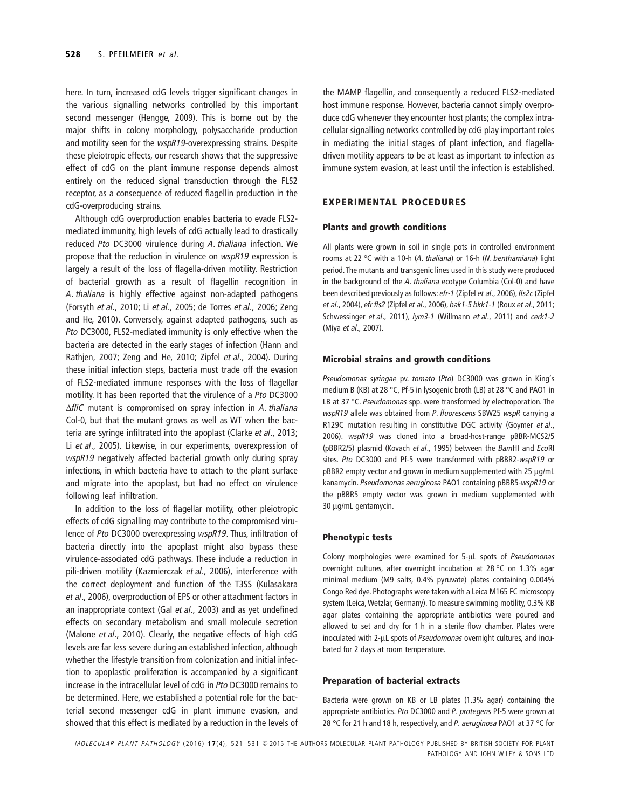here. In turn, increased cdG levels trigger significant changes in the various signalling networks controlled by this important second messenger (Hengge, 2009). This is borne out by the major shifts in colony morphology, polysaccharide production and motility seen for the *wspR19-*overexpressing strains. Despite these pleiotropic effects, our research shows that the suppressive effect of cdG on the plant immune response depends almost entirely on the reduced signal transduction through the FLS2 receptor, as a consequence of reduced flagellin production in the cdG-overproducing strains.

Although cdG overproduction enables bacteria to evade FLS2 mediated immunity, high levels of cdG actually lead to drastically reduced *Pto* DC3000 virulence during *A. thaliana* infection. We propose that the reduction in virulence on *wspR19* expression is largely a result of the loss of flagella-driven motility. Restriction of bacterial growth as a result of flagellin recognition in *A. thaliana* is highly effective against non-adapted pathogens (Forsyth *et al*., 2010; Li *et al*., 2005; de Torres *et al*., 2006; Zeng and He, 2010). Conversely, against adapted pathogens, such as *Pto* DC3000, FLS2-mediated immunity is only effective when the bacteria are detected in the early stages of infection (Hann and Rathjen, 2007; Zeng and He, 2010; Zipfel *et al*., 2004). During these initial infection steps, bacteria must trade off the evasion of FLS2-mediated immune responses with the loss of flagellar motility. It has been reported that the virulence of a *Pto* DC3000 Δ*fliC* mutant is compromised on spray infection in *A. thaliana* Col-0, but that the mutant grows as well as WT when the bacteria are syringe infiltrated into the apoplast (Clarke *et al*., 2013; Li *et al*., 2005). Likewise, in our experiments, overexpression of *wspR19* negatively affected bacterial growth only during spray infections, in which bacteria have to attach to the plant surface and migrate into the apoplast, but had no effect on virulence following leaf infiltration.

In addition to the loss of flagellar motility, other pleiotropic effects of cdG signalling may contribute to the compromised virulence of *Pto* DC3000 overexpressing *wspR19*. Thus, infiltration of bacteria directly into the apoplast might also bypass these virulence-associated cdG pathways. These include a reduction in pili-driven motility (Kazmierczak *et al*., 2006), interference with the correct deployment and function of the T3SS (Kulasakara *et al*., 2006), overproduction of EPS or other attachment factors in an inappropriate context (Gal *et al*., 2003) and as yet undefined effects on secondary metabolism and small molecule secretion (Malone *et al*., 2010). Clearly, the negative effects of high cdG levels are far less severe during an established infection, although whether the lifestyle transition from colonization and initial infection to apoplastic proliferation is accompanied by a significant increase in the intracellular level of cdG in *Pto* DC3000 remains to be determined. Here, we established a potential role for the bacterial second messenger cdG in plant immune evasion, and showed that this effect is mediated by a reduction in the levels of

the MAMP flagellin, and consequently a reduced FLS2-mediated host immune response. However, bacteria cannot simply overproduce cdG whenever they encounter host plants; the complex intracellular signalling networks controlled by cdG play important roles in mediating the initial stages of plant infection, and flagelladriven motility appears to be at least as important to infection as immune system evasion, at least until the infection is established.

# **EXPERIMENTAL PROCEDURES**

#### **Plants and growth conditions**

All plants were grown in soil in single pots in controlled environment rooms at 22 °C with a 10-h (*A. thaliana*) or 16-h (*N. benthamiana*) light period. The mutants and transgenic lines used in this study were produced in the background of the *A. thaliana* ecotype Columbia (Col-0) and have been described previously as follows: *efr-1* (Zipfel *et al*., 2006), *fls2c*(Zipfel *et al*., 2004), *efr fls2* (Zipfel *et al*., 2006), *bak1-5 bkk1-1* (Roux *et al*., 2011; Schwessinger *et al*., 2011), *lym3-1* (Willmann *et al*., 2011) and *cerk1-2* (Miya *et al*., 2007).

#### **Microbial strains and growth conditions**

*Pseudomonas syringae* pv. *tomato* (*Pto*) DC3000 was grown in King's medium B (KB) at 28 °C, Pf-5 in lysogenic broth (LB) at 28 °C and PAO1 in LB at 37 °C. *Pseudomonas* spp. were transformed by electroporation. The *wspR19* allele was obtained from *P. fluorescens* SBW25 *wspR* carrying a R129C mutation resulting in constitutive DGC activity (Goymer *et al*., 2006). *wspR19* was cloned into a broad-host-range pBBR-MCS2/5 (pBBR2/5) plasmid (Kovach *et al*., 1995) between the *Bam*HI and *Eco*RI sites. *Pto* DC3000 and Pf-5 were transformed with pBBR2*-wspR19* or pBBR2 empty vector and grown in medium supplemented with 25 μg/mL kanamycin. *Pseudomonas aeruginosa* PAO1 containing pBBR5-*wspR19* or the pBBR5 empty vector was grown in medium supplemented with 30 μg/mL gentamycin.

#### **Phenotypic tests**

Colony morphologies were examined for 5-μL spots of *Pseudomonas* overnight cultures, after overnight incubation at 28 °C on 1.3% agar minimal medium (M9 salts, 0.4% pyruvate) plates containing 0.004% Congo Red dye. Photographs were taken with a Leica M165 FC microscopy system (Leica, Wetzlar, Germany). To measure swimming motility, 0.3% KB agar plates containing the appropriate antibiotics were poured and allowed to set and dry for 1 h in a sterile flow chamber. Plates were inoculated with 2-μL spots of *Pseudomonas* overnight cultures, and incubated for 2 days at room temperature.

### **Preparation of bacterial extracts**

Bacteria were grown on KB or LB plates (1.3% agar) containing the appropriate antibiotics. *Pto* DC3000 and *P. protegens* Pf-5 were grown at 28 °C for 21 h and 18 h, respectively, and *P. aeruginosa* PAO1 at 37 °C for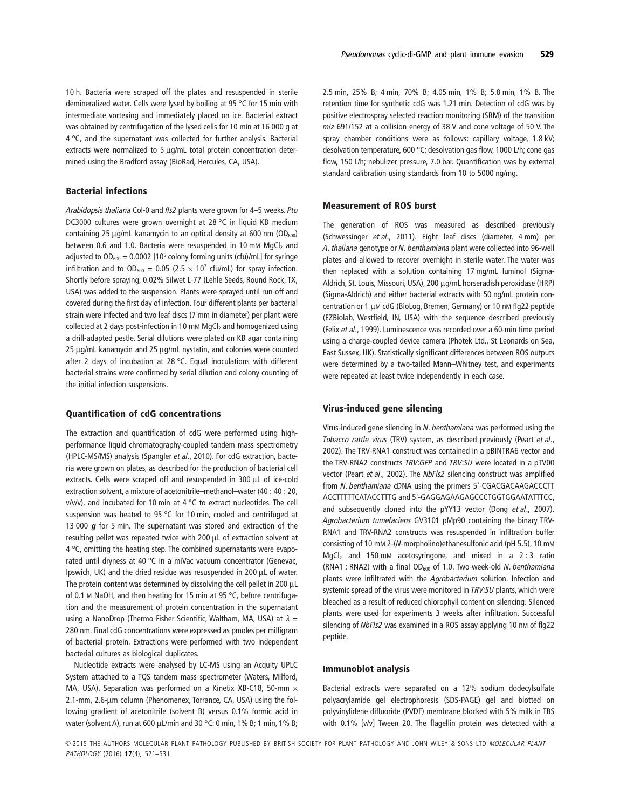## **Bacterial infections**

*Arabidopsis thaliana* Col-0 and *fls2* plants were grown for 4–5 weeks. *Pto* DC3000 cultures were grown overnight at 28 °C in liquid KB medium containing 25 μg/mL kanamycin to an optical density at 600 nm (OD $_{600}$ ) between 0.6 and 1.0. Bacteria were resuspended in 10 mm  $MqCl<sub>2</sub>$  and adjusted to  $OD_{600} = 0.0002$  [10<sup>5</sup> colony forming units (cfu)/mL] for syringe infiltration and to  $OD_{600} = 0.05$  (2.5 × 10<sup>7</sup> cfu/mL) for spray infection. Shortly before spraying, 0.02% Silwet L-77 (Lehle Seeds, Round Rock, TX, USA) was added to the suspension. Plants were sprayed until run-off and covered during the first day of infection. Four different plants per bacterial strain were infected and two leaf discs (7 mm in diameter) per plant were collected at 2 days post-infection in 10 mm  $MgCl<sub>2</sub>$  and homogenized using a drill-adapted pestle. Serial dilutions were plated on KB agar containing 25 μg/mL kanamycin and 25 μg/mL nystatin, and colonies were counted after 2 days of incubation at 28 °C. Equal inoculations with different bacterial strains were confirmed by serial dilution and colony counting of the initial infection suspensions.

#### **Quantification of cdG concentrations**

The extraction and quantification of cdG were performed using highperformance liquid chromatography-coupled tandem mass spectrometry (HPLC-MS/MS) analysis (Spangler *et al*., 2010). For cdG extraction, bacteria were grown on plates, as described for the production of bacterial cell extracts. Cells were scraped off and resuspended in 300 μL of ice-cold extraction solvent, a mixture of acetonitrile–methanol–water (40 : 40 : 20,  $v/v/v$ ), and incubated for 10 min at 4 °C to extract nucleotides. The cell suspension was heated to 95 °C for 10 min, cooled and centrifuged at 13 000 *g* for 5 min. The supernatant was stored and extraction of the resulting pellet was repeated twice with 200 μL of extraction solvent at 4 °C, omitting the heating step. The combined supernatants were evaporated until dryness at 40 °C in a miVac vacuum concentrator (Genevac, Ipswich, UK) and the dried residue was resuspended in 200 μL of water. The protein content was determined by dissolving the cell pellet in 200 μL of 0.1 M NaOH, and then heating for 15 min at 95 °C, before centrifugation and the measurement of protein concentration in the supernatant using a NanoDrop (Thermo Fisher Scientific, Waltham, MA, USA) at  $λ =$ 280 nm. Final cdG concentrations were expressed as pmoles per milligram of bacterial protein. Extractions were performed with two independent bacterial cultures as biological duplicates.

Nucleotide extracts were analysed by LC-MS using an Acquity UPLC System attached to a TQS tandem mass spectrometer (Waters, Milford, MA, USA). Separation was performed on a Kinetix XB-C18, 50-mm  $\times$ 2.1-mm, 2.6-μm column (Phenomenex, Torrance, CA, USA) using the following gradient of acetonitrile (solvent B) versus 0.1% formic acid in water (solvent A), run at 600 μL/min and 30 °C: 0 min, 1% B; 1 min, 1% B; 2.5 min, 25% B; 4 min, 70% B; 4.05 min, 1% B; 5.8 min, 1% B. The retention time for synthetic cdG was 1.21 min. Detection of cdG was by positive electrospray selected reaction monitoring (SRM) of the transition *m*/*z* 691/152 at a collision energy of 38 V and cone voltage of 50 V. The spray chamber conditions were as follows: capillary voltage, 1.8 kV; desolvation temperature, 600 °C; desolvation gas flow, 1000 L/h; cone gas flow, 150 L/h; nebulizer pressure, 7.0 bar. Quantification was by external standard calibration using standards from 10 to 5000 ng/mg.

#### **Measurement of ROS burst**

The generation of ROS was measured as described previously (Schwessinger *et al*., 2011). Eight leaf discs (diameter, 4 mm) per *A. thaliana* genotype or *N. benthamiana* plant were collected into 96-well plates and allowed to recover overnight in sterile water. The water was then replaced with a solution containing 17 mg/mL luminol (Sigma-Aldrich, St. Louis, Missouri, USA), 200 μg/mL horseradish peroxidase (HRP) (Sigma-Aldrich) and either bacterial extracts with 50 ng/mL protein concentration or 1 μM cdG (BioLog, Bremen, Germany) or 10 nM flg22 peptide (EZBiolab, Westfield, IN, USA) with the sequence described previously (Felix *et al*., 1999). Luminescence was recorded over a 60-min time period using a charge-coupled device camera (Photek Ltd., St Leonards on Sea, East Sussex, UK). Statistically significant differences between ROS outputs were determined by a two-tailed Mann–Whitney test, and experiments were repeated at least twice independently in each case.

#### **Virus-induced gene silencing**

Virus-induced gene silencing in *N. benthamiana* was performed using the *Tobacco rattle virus* (TRV) system, as described previously (Peart *et al*., 2002). The TRV-RNA1 construct was contained in a pBINTRA6 vector and the TRV-RNA2 constructs *TRV*:*GFP* and *TRV*:*SU* were located in a pTV00 vector (Peart *et al*., 2002). The *NbFls2* silencing construct was amplified from *N. benthamiana* cDNA using the primers 5'-CGACGACAAGACCCTT ACCTTTTTCATACCTTTG and 5'-GAGGAGAAGAGCCCTGGTGGAATATTTCC, and subsequently cloned into the pYY13 vector (Dong *et al*., 2007). *Agrobacterium tumefaciens* GV3101 pMp90 containing the binary TRV-RNA1 and TRV-RNA2 constructs was resuspended in infiltration buffer consisting of 10 mM 2-(*N*-morpholino)ethanesulfonic acid (pH 5.5), 10 mM MgCl<sub>2</sub> and 150 mm acetosyringone, and mixed in a 2 : 3 ratio (RNA1 : RNA2) with a final OD<sub>600</sub> of 1.0. Two-week-old *N. benthamiana* plants were infiltrated with the *Agrobacterium* solution. Infection and systemic spread of the virus were monitored in *TRV:SU* plants, which were bleached as a result of reduced chlorophyll content on silencing. Silenced plants were used for experiments 3 weeks after infiltration. Successful silencing of *NbFls2* was examined in a ROS assay applying 10 nm of flg22 peptide.

#### **Immunoblot analysis**

Bacterial extracts were separated on a 12% sodium dodecylsulfate polyacrylamide gel electrophoresis (SDS-PAGE) gel and blotted on polyvinylidene difluoride (PVDF) membrane blocked with 5% milk in TBS with 0.1% [v/v] Tween 20. The flagellin protein was detected with a

PATHOLOGY (2016) **17**(4), 521–531  $\odot$ 2015 THE AUTHORS MOLECULAR PLANT PATHOLOGY PUBLISHED BY BRITISH SOCIETY FOR PLANT PATHOLOGY AND JOHN WILEY & SONS LTD MOLECULAR PLANT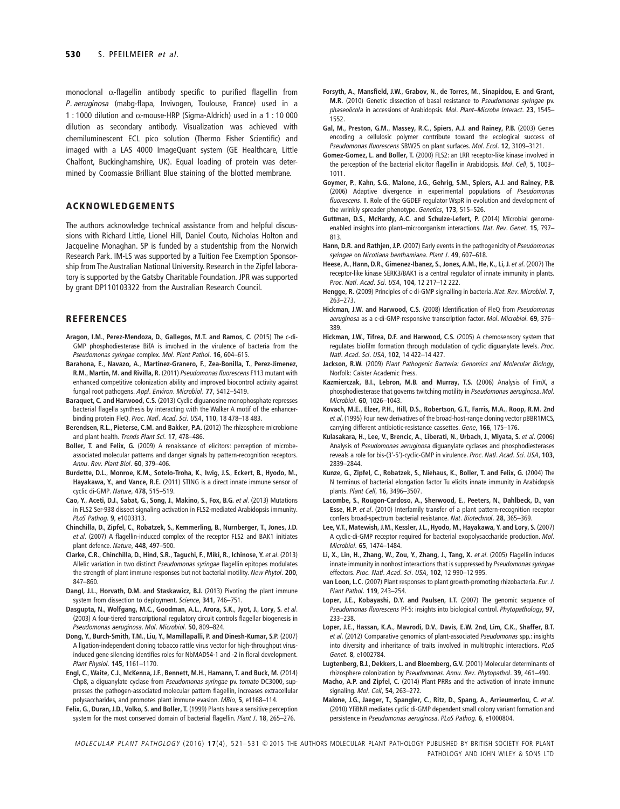monoclonal α-flagellin antibody specific to purified flagellin from *P. aeruginosa* (mabg-flapa, Invivogen, Toulouse, France) used in a 1 : 1000 dilution and α-mouse-HRP (Sigma-Aldrich) used in a 1 : 10 000 dilution as secondary antibody. Visualization was achieved with chemiluminescent ECL pico solution (Thermo Fisher Scientific) and imaged with a LAS 4000 ImageQuant system (GE Healthcare, Little Chalfont, Buckinghamshire, UK). Equal loading of protein was determined by Coomassie Brilliant Blue staining of the blotted membrane.

## **ACKNOWLEDGEMENTS**

The authors acknowledge technical assistance from and helpful discussions with Richard Little, Lionel Hill, Daniel Couto, Nicholas Holton and Jacqueline Monaghan. SP is funded by a studentship from the Norwich Research Park. IM-LS was supported by a Tuition Fee Exemption Sponsorship from The Australian National University. Research in the Zipfel laboratory is supported by the Gatsby Charitable Foundation. JPR was supported by grant DP110103322 from the Australian Research Council.

#### **REFERENCES**

- **Aragon, I.M.**, **Perez-Mendoza, D.**, **Gallegos, M.T. and Ramos, C.** (2015) The c-di-GMP phosphodiesterase BifA is involved in the virulence of bacteria from the *Pseudomonas syringae* complex. *Mol. Plant Pathol.* **16**, 604–615.
- **Barahona, E.**, **Navazo, A.**, **Martinez-Granero, F.**, **Zea-Bonilla, T.**, **Perez-Jimenez, R.M.**, **Martin, M. and Rivilla, R.** (2011) *Pseudomonas fluorescens* F113 mutant with enhanced competitive colonization ability and improved biocontrol activity against fungal root pathogens. *Appl. Environ. Microbiol.* **77**, 5412–5419.
- **Baraquet, C. and Harwood, C.S.** (2013) Cyclic diguanosine monophosphate represses bacterial flagella synthesis by interacting with the Walker A motif of the enhancerbinding protein FleQ. *Proc. Natl. Acad. Sci. USA*, **110**, 18 478–18 483.
- **Berendsen, R.L.**, **Pieterse, C.M. and Bakker, P.A.** (2012) The rhizosphere microbiome and plant health. *Trends Plant Sci.* **17**, 478–486.
- **Boller, T. and Felix, G.** (2009) A renaissance of elicitors: perception of microbeassociated molecular patterns and danger signals by pattern-recognition receptors. *Annu. Rev. Plant Biol.* **60**, 379–406.
- **Burdette, D.L.**, **Monroe, K.M.**, **Sotelo-Troha, K.**, **Iwig, J.S.**, **Eckert, B.**, **Hyodo, M., Hayakawa, Y.**, **and Vance, R.E.** (2011) STING is a direct innate immune sensor of cyclic di-GMP. *Nature*, **478**, 515–519.
- **Cao, Y.**, **Aceti, D.J.**, **Sabat, G.**, **Song, J.**, **Makino, S.**, **Fox, B.G.** *et al*. (2013) Mutations in FLS2 Ser-938 dissect signaling activation in FLS2-mediated Arabidopsis immunity. *PLoS Pathog.* **9**, e1003313.
- **Chinchilla, D.**, **Zipfel, C.**, **Robatzek, S.**, **Kemmerling, B.**, **Nurnberger, T.**, **Jones, J.D.** *et al*. (2007) A flagellin-induced complex of the receptor FLS2 and BAK1 initiates plant defence. *Nature*, **448**, 497–500.
- **Clarke, C.R.**, **Chinchilla, D.**, **Hind, S.R.**, **Taguchi, F.**, **Miki, R.**, **Ichinose, Y.** *et al*. (2013) Allelic variation in two distinct *Pseudomonas syringae* flagellin epitopes modulates the strength of plant immune responses but not bacterial motility. *New Phytol.* **200**, 847–860.
- **Dangl, J.L.**, **Horvath, D.M. and Staskawicz, B.J.** (2013) Pivoting the plant immune system from dissection to deployment. *Science*, **341**, 746–751.
- **Dasgupta, N.**, **Wolfgang, M.C.**, **Goodman, A.L.**, **Arora, S.K.**, **Jyot, J.**, **Lory, S.** *et al*. (2003) A four-tiered transcriptional regulatory circuit controls flagellar biogenesis in *Pseudomonas aeruginosa*. *Mol. Microbiol.* **50**, 809–824.
- **Dong, Y.**, **Burch-Smith, T.M.**, **Liu, Y.**, **Mamillapalli, P. and Dinesh-Kumar, S.P.** (2007) A ligation-independent cloning tobacco rattle virus vector for high-throughput virusinduced gene silencing identifies roles for NbMADS4-1 and -2 in floral development. *Plant Physiol.* **145**, 1161–1170.
- **Engl, C.**, **Waite, C.J.**, **McKenna, J.F.**, **Bennett, M.H.**, **Hamann, T. and Buck, M.** (2014) Chp8, a diguanylate cyclase from *Pseudomonas syringae* pv. *tomato* DC3000, suppresses the pathogen-associated molecular pattern flagellin, increases extracellular polysaccharides, and promotes plant immune evasion. *MBio*, **5**, e1168–114.
- **Felix, G.**, **Duran, J.D.**, **Volko, S. and Boller, T.** (1999) Plants have a sensitive perception system for the most conserved domain of bacterial flagellin. *Plant J.* **18**, 265–276.
- **Forsyth, A.**, **Mansfield, J.W.**, **Grabov, N.**, **de Torres, M.**, **Sinapidou, E. and Grant, M.R.** (2010) Genetic dissection of basal resistance to *Pseudomonas syringae* pv. *phaseolicola* in accessions of Arabidopsis. *Mol. Plant–Microbe Interact.* **23**, 1545– 1552.
- **Gal, M.**, **Preston, G.M.**, **Massey, R.C.**, **Spiers, A.J. and Rainey, P.B.** (2003) Genes encoding a cellulosic polymer contribute toward the ecological success of *Pseudomonas fluorescens* SBW25 on plant surfaces. *Mol. Ecol.* **12**, 3109–3121.
- **Gomez-Gomez, L. and Boller, T.** (2000) FLS2: an LRR receptor-like kinase involved in the perception of the bacterial elicitor flagellin in Arabidopsis. *Mol. Cell*, **5**, 1003– 1011.
- **Goymer, P.**, **Kahn, S.G.**, **Malone, J.G.**, **Gehrig, S.M.**, **Spiers, A.J. and Rainey, P.B.** (2006) Adaptive divergence in experimental populations of *Pseudomonas fluorescens*. II. Role of the GGDEF regulator WspR in evolution and development of the wrinkly spreader phenotype. *Genetics*, **173**, 515–526.
- **Guttman, D.S.**, **McHardy, A.C. and Schulze-Lefert, P.** (2014) Microbial genomeenabled insights into plant–microorganism interactions. *Nat. Rev. Genet.* **15**, 797– 813.
- **Hann, D.R. and Rathjen, J.P.** (2007) Early events in the pathogenicity of *Pseudomonas syringae* on *Nicotiana benthamiana*. *Plant J.* **49**, 607–618.
- **Heese, A.**, **Hann, D.R.**, **Gimenez-Ibanez, S.**,**Jones, A.M.**, **He, K.**, **Li, J.** *et al*. (2007) The receptor-like kinase SERK3/BAK1 is a central regulator of innate immunity in plants. *Proc. Natl. Acad. Sci. USA*, **104**, 12 217–12 222.
- **Hengge, R.** (2009) Principles of c-di-GMP signalling in bacteria. *Nat. Rev. Microbiol.* **7**, 263–273.
- **Hickman, J.W. and Harwood, C.S.** (2008) Identification of FleQ from *Pseudomonas aeruginosa* as a c-di-GMP-responsive transcription factor. *Mol. Microbiol.* **69**, 376– 389.
- **Hickman, J.W.**, **Tifrea, D.F. and Harwood, C.S.** (2005) A chemosensory system that regulates biofilm formation through modulation of cyclic diguanylate levels. *Proc. Natl. Acad. Sci. USA*, **102**, 14 422–14 427.
- **Jackson, R.W.** (2009) *Plant Pathogenic Bacteria: Genomics and Molecular Biology*, Norfolk: Caister Academic Press.
- **Kazmierczak, B.I.**, **Lebron, M.B. and Murray, T.S.** (2006) Analysis of FimX, a phosphodiesterase that governs twitching motility in *Pseudomonas aeruginosa*. *Mol. Microbiol.* **60**, 1026–1043.
- **Kovach, M.E.**, **Elzer, P.H.**, **Hill, D.S.**, **Robertson, G.T.**, **Farris, M.A.**, **Roop, R.M. 2nd** *et al*. (1995) Four new derivatives of the broad-host-range cloning vector pBBR1MCS, carrying different antibiotic-resistance cassettes. *Gene*, **166**, 175–176.
- **Kulasakara, H.**, **Lee, V.**, **Brencic, A.**, **Liberati, N.**, **Urbach, J.**, **Miyata, S.** *et al*. (2006) Analysis of *Pseudomonas aeruginosa* diguanylate cyclases and phosphodiesterases reveals a role for bis-(3'-5')-cyclic-GMP in virulence. *Proc. Natl. Acad. Sci. USA*, **103**, 2839–2844.
- **Kunze, G.**, **Zipfel, C.**, **Robatzek, S.**, **Niehaus, K.**, **Boller, T. and Felix, G.** (2004) The N terminus of bacterial elongation factor Tu elicits innate immunity in Arabidopsis plants. *Plant Cell*, **16**, 3496–3507.
- **Lacombe, S.**, **Rougon-Cardoso, A.**, **Sherwood, E.**, **Peeters, N.**, **Dahlbeck, D.**, **van Esse, H.P.** *et al*. (2010) Interfamily transfer of a plant pattern-recognition receptor confers broad-spectrum bacterial resistance. *Nat. Biotechnol.* **28**, 365–369.
- **Lee, V.T.**, **Matewish, J.M.**, **Kessler, J.L.**, **Hyodo, M.**, **Hayakawa, Y. and Lory, S.** (2007) A cyclic-di-GMP receptor required for bacterial exopolysaccharide production. *Mol. Microbiol.* **65**, 1474–1484.
- **Li, X.**, **Lin, H.**, **Zhang, W.**, **Zou, Y.**, **Zhang, J.**, **Tang, X.** *et al*. (2005) Flagellin induces innate immunity in nonhost interactions that is suppressed by *Pseudomonas syringae* effectors. *Proc. Natl. Acad. Sci. USA*, **102**, 12 990–12 995.
- **van Loon, L.C.** (2007) Plant responses to plant growth-promoting rhizobacteria. *Eur. J. Plant Pathol.* **119**, 243–254.
- **Loper, J.E.**, **Kobayashi, D.Y. and Paulsen, I.T.** (2007) The genomic sequence of *Pseudomonas fluorescens* Pf-5: insights into biological control. *Phytopathology*, **97**, 233–238.
- **Loper, J.E.**, **Hassan, K.A.**, **Mavrodi, D.V.**, **Davis, E.W. 2nd**, **Lim, C.K.**, **Shaffer, B.T.** *et al*. (2012) Comparative genomics of plant-associated *Pseudomonas* spp.: insights into diversity and inheritance of traits involved in multitrophic interactions. *PLoS Genet.* **8**, e1002784.
- **Lugtenberg, B.J.**, **Dekkers, L. and Bloemberg, G.V.** (2001) Molecular determinants of rhizosphere colonization by *Pseudomonas*. *Annu. Rev. Phytopathol.* **39**, 461–490.
- **Macho, A.P. and Zipfel, C.** (2014) Plant PRRs and the activation of innate immune signaling. *Mol. Cell*, **54**, 263–272.
- **Malone, J.G.**, **Jaeger, T.**, **Spangler, C.**, **Ritz, D.**, **Spang, A.**, **Arrieumerlou, C.** *et al*. (2010) YfiBNR mediates cyclic di-GMP dependent small colony variant formation and persistence in *Pseudomonas aeruginosa*. *PLoS Pathog.* **6**, e1000804.